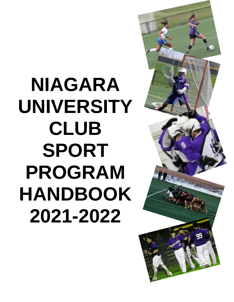# **NIAGARA UNIVERSITY CLUB SPORT PROGRAM HANDBOOK 2021-2022**

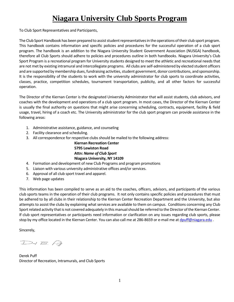## **Niagara University Club Sports Program**

To Club Sport Representatives and Participants,

The Club Sport Handbook has been prepared to assist student representatives in the operations of their club sport program. This handbook contains information and specific policies and procedures for the successful operation of a club sport program. The handbook is an addition to the Niagara University Student Government Association (NUSGA) handbook, therefore all Club Sports should adhere to policies and procedures outline in both handbooks. Niagara University's Club Sport Program is a recreational program for University students designed to meet the athletic and recreational needs that are not met by existing intramural and intercollegiate programs. All clubs are self-administered by elected student officers and are supported by membership dues, fundraising activities, student government, donor contributions, and sponsorship. It is the responsibility of the students to work with the university administrator for club sports to coordinate activities, classes, practice, competition schedules, tournament transportation, publicity, and all other factors for successful operation.

The Director of the Kiernan Center is the designated University Administrator that will assist students, club advisors, and coaches with the development and operations of a club sport program. In most cases, the Director of the Kiernan Center is usually the final authority on questions that might arise concerning scheduling, contracts, equipment, facility & field usage, travel, hiring of a coach etc. The University administrator for the club sport program can provide assistance in the following areas:

- 1. Administrative assistance, guidance, and counseling
- 2. Facility clearance and scheduling.
- 3. All correspondence for respective clubs should be mailed to the following address:

**Kiernan Recreation Center 5795 Lewiston Road Attn:** *Name of Club Sport* **Niagara University, NY 14109**

- 4. Formation and development of new Club Programs and program promotions
- 5. Liaison with various university administrative offices and/or services.
- 6. Approval of all club sport travel and apparel.
- 7. Web page updates

This information has been compiled to serve as an aid to the coaches, officers, advisors, and participants of the various club sports teams in the operation of their club programs. It not only contains specific policies and procedures that must be adhered to by all clubs in their relationship to the Kiernan Center Recreation Department and the University, but also attempts to assist the clubs by explaining what services are available to them on campus. Conditions concerning any Club Sport related activity that is not covered adequately in this manual should be referred to the Director of the Kiernan Center. If club sport representatives or participants need information or clarification on any issues regarding club sports, please stop by my office located in the Kiernan Center. You can also call me at 286-8659 or e-mail me a[t dpuff@niagara.edu](mailto:dpuff@niagara.edu).

Sincerely,

 $D$ -1 $B$ .  $P$ 

Derek Puff Director of Recreation, Intramurals, and Club Sports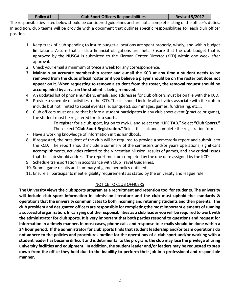#### **Policy #1 Club Sport Officers Responsibilities Revised 5/2017**

The responsibilities listed below should be considered guidelines and are not a complete listing of the officer's duties. In addition, club teams will be provide with a document that outlines specific responsibilities for each club officer position.

- 1. Keep track of club spending to insure budget allocations are spent properly, wisely, and within budget limitations. Assure that all club financial obligations are met. Ensure that the club budget that is approved by the NUSGA is submitted to the Kiernan Center Director (KCD) within one week after approval.
- 2. Check your email a minimum of twice a week for any correspondence.
- **3. Maintain an accurate membership roster and e-mail the KCD at any time a student needs to be removed from the clubs official roster or if you believe a player should be on the roster but does not appear on it. When requesting to remove a student from the roster, the removal request should be accompanied by a reason the student is being removed.**
- 4. An updated list of phone numbers, emails, and addresses for club officers must be on file with the KCD.
- 5. Provide a schedule of activities to the KCD. The list should include all activities associate with the club to include but not limited to social events (i.e. banquets), scrimmages, games, fundraising, etc….
- 6. Club officers must ensure that before a student participates in any club sport event (practice or game), the student must be registered for club sports.

To register for a club sport, log on to myNU and select the "**LIFE TAB.**" Select **"Club Sports."** Then select **"Club Sport Registration."** Select this link and complete the registration form.

- 7. Have a working knowledge of information in this handbook.
- 8. If requested, the president of the club will be required to provide a semesterly report and submit it to the KCD. The report should include a summary of the semesters and/or years operations, significant accomplishments, activities related to the Vincentian Mission, results of games, and any critical issues that the club should address. The report must be completed by the due date assigned by the KCD.
- 9. Schedule transportation in accordance with Club Travel Guidelines.
- 10. Submit game results and summary of game per policy outlined.
- 11. Ensure all participants meet eligibility requirements as stated by the university and league rule.

#### NOTICE TO CLUB OFFICERS

**The University views the club sports program as a recruitment and retention tool for students. The university will include club sport information in admission literature and the club must uphold the standards & operations that the university communicates to both incoming and returning students and their parents. The club president and designated officers are responsible for completing the most important elements of running a successful organization. In carrying out the responsibilities as a club leader you will be required to work with the administrator for club sports. It is very important that both parties respond to questions and request for information in a timely manner. In most cases, phone calls and response to e-mails should be done within a 24 hour period. If the administrator for club sports finds that student leadership and/or team operations do not adhere to the policies and procedures outline for the operations of a club sport and/or working with a student leader has become difficult and is detrimental to the program, the club may lose the privilege of using university facilities and equipment. In addition, the student leader and/or leaders may be requested to step down from the office they hold due to the inability to perform their job in a professional and responsible manner.**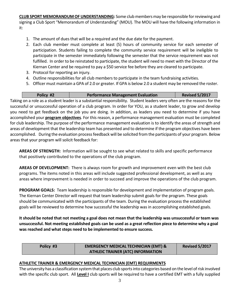**CLUB SPORT MEMORANDUM OF UNDERSTANDING:** Some club members may be responsible for reviewing and signing a Club Sport "Memorandum of Understanding" (MOU). The MOU will have the following information in it:

- 1. The amount of dues that will be a required and the due date for the payment.
- 2. Each club member must complete at least (5) hours of community service for each semester of participation. Students failing to complete the community service requirement will be ineligible to participate in the semester immediately following the semester that the service requirement was not fulfilled. In order to be reinstated to participate, the student will need to meet with the Director of the Kiernan Center and be required to pay a \$50 service fee before they are cleared to participate.
- 3. Protocol for reporting an injury.
- 4. Outline responsibilities for all club members to participate in the team fundraising activities.
- 5. Officer must maintain a GPA of 2.0 or greater. If GPA is below 2.0 a student may be removed the roster.

|                                                    | Policy #2                                                                                                           | <b>Performance Management Evaluation</b>                                                                                 | <b>Revised 5/2017</b> |  |
|----------------------------------------------------|---------------------------------------------------------------------------------------------------------------------|--------------------------------------------------------------------------------------------------------------------------|-----------------------|--|
|                                                    |                                                                                                                     | Taking on a role as a student leader is a substantial responsibility. Student leaders very often are the reasons for the |                       |  |
|                                                    |                                                                                                                     | successful or unsuccessful operation of a club program. In order for YOU, as a student leader, to grow and develop       |                       |  |
|                                                    |                                                                                                                     | you need to get feedback on the job you are doing. In addition, as leaders you need to determine if you have             |                       |  |
|                                                    | accomplished your program objectives. For this reason, a performance management evaluation must be completed        |                                                                                                                          |                       |  |
|                                                    | for club leadership. The purpose of the performance management evaluation is to identify the areas of strength and  |                                                                                                                          |                       |  |
|                                                    | areas of development that the leadership team has presented and to determine if the program objectives have been    |                                                                                                                          |                       |  |
|                                                    | accomplished. During the evaluation process feedback will be solicited from the participants of your program. Below |                                                                                                                          |                       |  |
| areas that your program will solicit feedback for: |                                                                                                                     |                                                                                                                          |                       |  |

**AREAS OF STRENGTH:** Information will be sought to see what related to skills and specific performance that positively contributed to the operations of the club program.

**AREAS OF DEVELOPMENT:** There is always room for growth and improvement even with the best club programs. The items noted in this areas will include suggested professional development, as well as any areas where improvement is needed in order to succeed and improve the operations of the club program.

**PROGRAM GOALS:** Team leadership is responsible for development and implementation of program goals. The Kiernan Center Director will request that team leadership submit goals for the program. These goals should be communicated with the participants of the team. During the evaluation process the established goals will be reviewed to determine how successful the leadership was in accomplishing established goals.

**It should be noted that not meeting a goal does not mean that the leadership was unsuccessful or team was unsuccessful. Not meeting established goals can be used as a great reflection piece to determine why a goal was reached and what steps need to be implemented to ensure success.**

| Policy #3 | <b>EMERGENCY MEDICAL TECHNICIAN (EMT) &amp;</b> | <b>Revised 5/2017</b> |
|-----------|-------------------------------------------------|-----------------------|
|           | <b>ATHLEIC TRAINER (ATC) INFORMATION</b>        |                       |

#### **ATHLETIC TRAINER & EMERGENCY MEDICAL TECHNICIAN (EMT) REQUIRMENTS**

The university has a classification system that places club sports into categories based on the level of risk involved with the specific club sport. All **Level I** club sports will be required to have a certified EMT with a fully supplied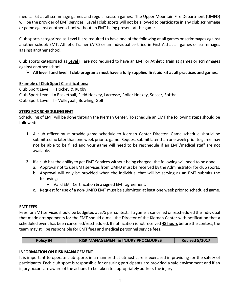medical kit at all scrimmage games and regular season games. The Upper Mountain Fire Department (UMFD) will be the provider of EMT services. Level I club sports will not be allowed to participate in any club scrimmage or game against another school without an EMT being present at the game.

Club sports categorized as **Level II** are required to have one of the following at all games or scrimmages against another school: EMT, Athletic Trainer (ATC) or an individual certified in First Aid at all games or scrimmages against another school.

Club sports categorized as **Level** III are not required to have an EMT or Athletic train at games or scrimmages against another school.

**All level I and level II club programs must have a fully supplied first aid kit at all practices and games**.

#### **Example of Club Sport Classifications:**

Club Sport Level I = Hockey & Rugby Club Sport Level II = Basketball, Field Hockey, Lacrosse, Roller Hockey, Soccer, Softball Club Sport Level III = Volleyball, Bowling, Golf

#### **STEPS FOR SCHEDULING EMT**

Scheduling of EMT will be done through the Kiernan Center. To schedule an EMT the following steps should be followed:

- **1.** A club officer must provide game schedule to Kiernan Center Director. Game schedule should be submitted no later than one week prior to game. Request submit later than one week prior to game may not be able to be filled and your game will need to be reschedule if an EMT/medical staff are not available.
- **2.** If a club has the ability to get EMT Services without being charged, the following will need to be done:
	- a. Approval not to use EMT services from UMFD must be received by the Administrator for club sports.
	- b. Approval will only be provided when the individual that will be serving as an EMT submits the following:
		- Valid EMT Certification & a signed EMT agreement.
	- c. Request for use of a non-UMFD EMT must be submitted at least one week prior to scheduled game.

#### **EMT FEES**

Fees for EMT services should be budgeted at \$75 per contest. If a game is cancelled or rescheduled the individual that made arrangements for the EMT should e-mail the Director of the Kiernan Center with notification that a scheduled event has been cancelled/rescheduled. If notification is not received **48 hours** before the contest, the team may still be responsible for EMT fees and medical personnel service fees.

| Policy #4 | <b>RISK MANAGEMENT &amp; INJURY PROCEDURES</b> | <b>Revised 5/2017</b> |
|-----------|------------------------------------------------|-----------------------|
|-----------|------------------------------------------------|-----------------------|

### **INFORMATION ON RISK MANAGEMENT**

It is important to operate club sports in a manner that utmost care is exercised in providing for the safety of participants. Each club sport is responsible for ensuring participants are provided a safe environment and if an injury occurs are aware of the actions to be taken to appropriately address the injury.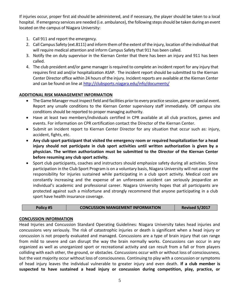If injuries occur, proper first aid should be administered, and if necessary, the player should be taken to a local hospital. If emergency services are needed (i.e. ambulance), the following steps should be taken during an event located on the campus of Niagara University:

- 1. Call 911 and report the emergency.
- 2. Call Campus Safety (ext.8111) and inform them of the extent of the injury, location of the individual that will require medical attention and inform Campus Safety that 911 has been called.
- 3. Notify the on duty supervisor in the Kiernan Center that there has been an injury and 911 has been called.
- 4. The club president and/or game manager is required to complete an incident report for any injury that requires first aid and/or hospitalization ASAP. The incident report should be submitted to the Kiernan Center Director office within 24 hours of the injury. Incident reports are available at the Kiernan Center and can be found on line at<http://clubsports.niagara.edu/info/documents/>

#### **ADDITIONAL RISK MANAGEMENT INFORMATION**

- The Game Manager must inspect field and facilities prior to every practice session, game or special event. Report any unsafe conditions to the Kiernan Center supervisory staff immediately. Off campus site conditions should be reported to proper managing authority.
- Have at least two members/individuals certified in CPR available at all club practices, games and events. For information on CPR certification contact the Director of the Kiernan Center.
- Submit an incident report to Kiernan Center Director for any situation that occur such as: injury, accident, fights, etc.
- **Any club sport participant that visited the emergency room or required hospitalization for a head injury should not participate in club sport activities until written authorization is given by a physician. The written authorization must be submitted to the Director of the Kiernan Center before resuming any club sport activity.**
- Sport club participants, coaches and instructors should emphasize safety during all activities. Since participation in the Club Sport Program is on a voluntary basis, Niagara University will not accept the responsibility for injuries sustained while participating in a club sport activity. Medical cost are constantly increasing and the expense of an unforeseen accident can seriously jeopardize an individual's academic and professional career. Niagara University hopes that all participants are protected against such a misfortune and strongly recommend that anyone participating in a club sport have health insurance coverage.

**Policy #5 CONCUSSION MANGEMENT INFORMATION Revised 5/2017**

#### **CONCUSSION INFORMATION**

Head Injuries and Concussion Standard Operating Guidelines: Niagara University takes head injuries and concussions very seriously. The risk of catastrophic injuries or death is significant when a head injury or concussion is not properly evaluated and managed. Concussions are a type of brain injury that can range from mild to severe and can disrupt the way the brain normally works. Concussions can occur in any organized as well as unorganized sport or recreational activity and can result from a fall or from players colliding with each other, the ground, or obstacles. Concussions occur with or without loss of consciousness, but the vast majority occur without loss of consciousness. Continuing to play with a concussion or symptoms of head injury leaves the individual vulnerable to greater injury and even death. **If a club member is suspected to have sustained a head injury or concussion during competition, play, practice, or**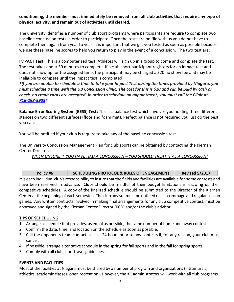#### **conditioning, the member must immediately be removed from all club activities that require any type of physical activity, and remain out of activities until cleared.**

The university identifies a number of club sport programs where participants are require to complete two baseline concussion tests in order to participate. Once the tests are on file with us you do not have to complete them again from year to year. It is important that we get you tested as soon as possible because we use these baseline scores to help you return to play in the event of a concussion. The two test are:

**IMPACT Test:** This is a computerized test. Athletes will sign up in a group to come and complete the test. The test takes about 30 minutes to complete. If a club sport participant registers for an impact test and does not show up for the assigned time, the participant may be charged a \$20 no show fee and may be ineligible to compete until the impact test is completed.

*\*If you are unable to schedule a time to take your Impact Test during the times provided by Niagara, you must schedule a time with the UB Concussion Clinic. The cost for this is \$20 and can be paid by cash or check, no credit cards are accepted. In order to schedule an appointment, you must call the Clinic at [716-298-5903\\*](tel:716-298-5903)*

**Balance Error Scoring System (BESS) Test:** This is a balance test which involves you holding three different stances on two different surfaces (floor and foam mat). Perfect balance is not required you just do the best you can.

You will be notified if your club is require to take any of the baseline concussion test.

The University Concussion Management Plan for club sports can be obtained by contacting the Kiernan Center Director.

*WHEN UNSURE IF YOU HAVE HAD A CONCUSSION – YOU SHOULD TREAT IT AS A CONCUSSION!*

| Policy #6 | SCHEDULING PROTOCOL & RULES OF ENGAGEMENT | <b>Revised 5/2017</b> |
|-----------|-------------------------------------------|-----------------------|
|-----------|-------------------------------------------|-----------------------|

It is each individual club's responsibility to insure that the fields and facilities are available for home contests and have been reserved in advance. Clubs should be mindful of their budget limitations in drawing up their competitive schedules. A copy of the finalized schedule should be submitted to the Director of the Kiernan Center at the beginning of each semester. The club advisor must be notified of all scrimmage and regular season games. Any written contracts involved in making final arrangements for any club competitive contest, must be approved and signed by the Kiernan Center Director (KCD) and/or the club's advisor.

#### **TIPS OF SCHEDULING**

- 1. Arrange a schedule that provides, as equal as possible, the same number of home and away contests.
- 2. Confirm the date, time, and location on the schedule as soon as possible.
- 3. Call the opponents team contact at least 24 hours prior to any contests if, for any reason, your club must cancel.
- 4. If possible, arrange a tentative schedule in the spring for fall sports and in the fall for spring sports.
- 5. Comply with all club sport travel guidelines.

#### **EVENTS AND FACILITIES**

Most of the facilities at Niagara must be shared by a number of program and organizations (intramurals, athletics, academic classes, open recreation). However, the KC administrators will work with all club programs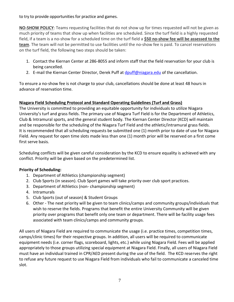to try to provide opportunities for practice and games.

**NO-SHOW POLICY**: Teams requesting facilities that do not show up for times requested will not be given as much priority of teams that show up when facilities are scheduled. Since the turf field is a highly requested field, if a team is a no-show for a scheduled time on the turf field a **\$50 no-show fee will be assessed to the team**. The team will not be permitted to use facilities until the no-show fee is paid. To cancel reservations on the turf field, the following two steps should be taken:

- 1. Contact the Kiernan Center at 286-8055 and inform staff that the field reservation for your club is being cancelled.
- 2. E-mail the Kiernan Center Director, Derek Puff at [dpuff@niagara.edu](mailto:dpuff@niagara.edu) of the cancellation.

To ensure a no-show fee is not charge to your club, cancellations should be done at least 48 hours in advance of reservation time.

#### **Niagara Field Scheduling Protocol and Standard Operating Guidelines (Turf and Grass)**

The University is committed to providing an equitable opportunity for individuals to utilize Niagara University's turf and grass fields. The primary use of Niagara Turf Field is for the Department of Athletics, Club & Intramural sports, and the general student body. The Kiernan Center Director (KCD) will maintain and be responsible for the scheduling of the Niagara Turf Field and the athletic/intramural grass fields. It is recommended that all scheduling requests be submitted one (1) month prior to date of use for Niagara Field. Any request for open time slots made less than one (1) month prior will be reserved on a first come first serve basis.

Scheduling conflicts will be given careful consideration by the KCD to ensure equality is achieved with any conflict. Priority will be given based on the predetermined list.

#### **Priority of Scheduling:**

- 1. Department of Athletics (championship segment)
- 2. Club Sports (in season). Club Sport games will take priority over club sport practices.
- 3. Department of Athletics (non- championship segment)
- 4. Intramurals
- 5. Club Sports (out of season) & Student Groups
- 6. Other The next priority will be given to team clinics/camps and community groups/individuals that wish to reserve the fields. Programs that benefit the entire University Community will be given priority over programs that benefit only one team or department. There will be facility usage fees associated with team clinics/camps and community groups.

All users of Niagara Field are required to communicate the usage (i.e. practice times, competition times, camps/clinic times) for their respective groups. In addition, all users will be required to communicate equipment needs (i.e. corner flags, scoreboard, lights, etc.) while using Niagara Field. Fees will be applied appropriately to those groups utilizing special equipment at Niagara Field. Finally, all users of Niagara Field must have an individual trained in CPR/AED present during the use of the field. The KCD reserves the right to refuse any future request to use Niagara Field from individuals who fail to communicate a canceled time slot.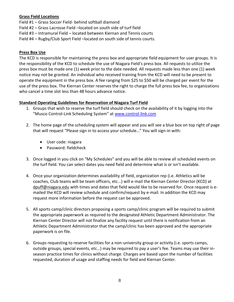#### **Grass Field Locations**

Field #1 – Grass Soccer Field- behind softball diamond

Field #2 – Grass Lacrosse Field –located on south side of turf field

Field #3 – Intramural Field – located between Kiernan and Tennis courts

Field #4 – Rugby/Club Sport Field –located on south side of tennis courts.

#### **Press Box Use**

The KCD is responsible for maintaining the press box and appropriate field equipment for user groups. It is the responsibility of the KCD to schedule the use of Niagara Field's press box. All requests to utilize the press box must be made one (1) week prior to the date needed. All requests made less than one (1) week notice may not be granted. An individual who received training from the KCD will need to be present to operate the equipment in the press box. A fee ranging from \$25 to \$50 will be charged per event for the use of the press box. The Kiernan Center reserves the right to charge the full press box fee, to organizations who cancel a time slot less than 48 hours advance notice.

#### **Standard Operating Guidelines for Reservation of Niagara Turf Field**

- 1. Groups that wish to reserve the turf field should check on the availability of it by logging into the "Musco Control-Link Scheduling System" at [www.control-link.com](http://www.control-link.com/)
- 2. The home page of the scheduling system will appear and you will see a blue box on top right of page that will request "Please sign in to access your schedule…" You will sign-in with:
	- User code: niagara
	- **•** Password: fieldcheck
- 3. Once logged in you click on "My Schedules" and you will be able to review all scheduled events on the turf field. You can select dates you need field and determine what is or isn't available.
- 4. Once your organization determines availability of field, organization rep (i.e. Athletics will be coaches, Club teams will be team officers, etc...) will e-mail the Kiernan Center Director (KCD) at dpuff@niagara.edu with times and dates that field would like to be reserved for. Once request is emailed the KCD will review schedule and confirm/request by e-mail. In addition the KCD may request more information before the request can be approved.
- 5. All sports camp/clinic directors proposing a sports camp/clinic program will be required to submit the appropriate paperwork as required to the designated Athletic Department Administrator. The Kiernan Center Director will not finalize any facility request until there is notification from an Athletic Department Administrator that the camp/clinic has been approved and the appropriate paperwork is on file.
- 6. Groups requesting to reserve facilities for a non-university group or activity (i.e. sports camps, outside groups, special events, etc…) may be required to pay a user's fee. Teams may use their inseason practice times for clinics without charge. Charges are based upon the number of facilities requested, duration of usage and staffing needs for field and Kiernan Center.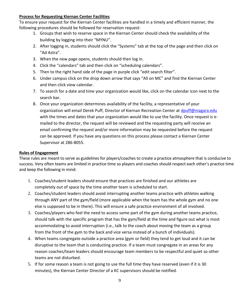#### **Process for Requesting Kiernan Center Facilities**

To ensure your request for the Kiernan Center facilities are handled in a timely and efficient manner, the following procedures should be followed for reservation request:

- 1. Groups that wish to reserve space in the Kiernan Center should check the availability of the building by logging into their "MYNU".
- 2. After logging in, students should click the "Systems" tab at the top of the page and then click on "Ad Astra".
- 3. When the new page opens, students should then log in.
- 4. Click the "calendars" tab and then click on "scheduling calendars".
- 5. Then to the right hand side of the page in purple click "edit search filter".
- 6. Under campus click on the drop down arrow that says "All on MC" and find the Kiernan Center and then click view calendar.
- 7. To search for a date and time your organization would like, click on the calendar icon next to the search bar.
- 8. Once your organization determines availability of the facility, a representative of your organization will email Derek Puff, Director of Kiernan Recreation Center at [dpuff@niagara.edu](mailto:dpuff@niagara.edu) with the times and dates that your organization would like to use the facility. Once request is emailed to the director, the request will be reviewed and the requesting party will receive an email confirming the request and/or more information may be requested before the request can be approved. If you have any questions on this process please contact a Kiernan Center Supervisor at 286-8055.

#### **Rules of Engagement**

These rules are meant to serve as guidelines for players/coaches to create a practice atmosphere that is conducive to success. Very often teams are limited in practice time so players and coaches should respect each other's practice time and keep the following in mind:

- 1. Coaches/student leaders should ensure that practices are finished and our athletes are completely out of space by the time another team is scheduled to start.
- 2. Coaches/student leaders should avoid interrupting another teams practice with athletes walking through ANY part of the gym/field (more applicable when the team has the whole gym and no one else is supposed to be in there). This will ensure a safe practice environment of all involved.
- 3. Coaches/players who feel the need to access some part of the gym during another teams practice, should talk with the specific program that has the gym/field at the time and figure out what is most accommodating to avoid interruption (i.e., talk to the coach about moving the team as a group from the front of the gym to the back and vice versa instead of a bunch of individuals).
- 4. When teams congregate outside a practice area (gym or field) they tend to get loud and it can be disruptive to the team that is conducting practice. If a team must congregate in an areas for any reason coaches/team leaders should encourage team members to be respectful and quiet so other teams are not disturbed.
- 5. If for some reason a team is not going to use the full time they have reserved (even if it is 30 minutes), the Kiernan Center Director of a KC supervisors should be notified.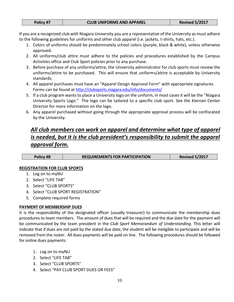| Policy #7 |  |
|-----------|--|
|           |  |

If you are a recognized club with Niagara University you are a representative of the University as must adhere to the following guidelines for uniforms and other club apparel (i.e. jackets, t-shirts, hats, etc.).

- 1. Colors of uniforms should be predominately school colors (purple, black & white), unless otherwise approved.
- 2. All uniforms/club attire must adhere to the policies and procedures established by the Campus Activities office and Club Sport policies prior to any purchase.
- 3. Before purchase of any uniforms/attire, the University administrator for club sports must review the uniforms/attire to be purchased. This will ensure that uniforms/attire is acceptable by University standards.
- 4. All apparel purchases must have an "Apparel Design Approval Form" with appropriate signatures. Forms can be found at<http://clubsports.niagara.edu/info/documents/>
- 5. If a club program wants to place a University logo on the uniform, in most cases it will be the "Niagara University Sports Logo." The logo can be tailored to a specific club sport. See the Kiernan Center Director for more information on the logo.
- 6. Any apparel purchased without going through the appropriate approval process will be confiscated by the University.

## *All club members can work on apparel and determine what type of apparel is needed, but it is the club president's responsibility to submit the apparel approval form.*

| Policy #8 | <b>REQUIREMENTS FOR PARTICIPATION</b> | <b>Revised 5/2017</b> |
|-----------|---------------------------------------|-----------------------|
|-----------|---------------------------------------|-----------------------|

#### **REGISTRATION FOR CLUB SPORTS**

- 1. Log on to myNU
- 2. Select "LIFE TAB"
- 3. Select "CLUB SPORTS"
- 4. Select "CLUB SPORT REGISTRATION"
- 5. Complete required forms

#### **PAYMENT OF MEMBERSHIP DUES**

It is the responsibility of the designated officer (usually treasurer) to communicate the membership dues procedures to team members. The amount of dues that will be required and the due date for the payment will be communicated by the team president in the *Club Sport Memorandum of Understanding*. This letter will indicate that if dues are not paid by the stated due date, the student will be ineligible to participate and will be removed from the roster. All dues payments will be paid on line. The following procedures should be followed for online dues payments:

- 1. Log on to myNU
- 2. Select "LIFE TAB"
- 3. Select "CLUB SPORTS"
- 4. Select "PAY CLUB SPORT DUES OR FEES"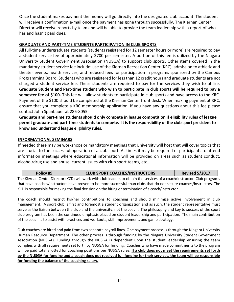Once the student makes payment the money will go directly into the designated club account. The student will receive a confirmation e-mail once the payment has gone through successfully. The Kiernan Center Director will receive reports by team and will be able to provide the team leadership with a report of who has and hasn't paid dues.

#### **GRADUATE AND PART-TIME STUDENTS PARTICIPATION IN CLUB SPORTS**

All full-time undergraduate students (students registered for 12 semester hours or more) are required to pay a student service fee of approximately \$700 per semester. A portion of this fee is utilized by the Niagara University Student Government Association (NUSGA) to support club sports. Other items covered in the mandatory student service fee include: use of the Kiernan Recreation Center (KRC), admission to athletic and theater events, health services, and reduced fees for participation in programs sponsored by the Campus Programming Board. Students who are registered for less than 12 credit hours and graduate students are not charged a student service fee. These students are required to pay for the services they wish to utilize. **Graduate Student and Part-time student who wish to participate in club sports will be required to pay a semester fee of \$100.** This fee will allow students to participate in club sports and have access to the KRC. Payment of the \$100 should be completed at the Kiernan Center front desk. When making payment at KRC, ensure that you complete a KRC membership application. If you have any questions about this fee please contact John Spanbauer at 286-8055.

**Graduate and part-time students should only compete in league competition if eligibility rules of league permit graduate and part-time students to compete. It is the responsibility of the club sport president to know and understand league eligibility rules.**

#### **INFORMATIONAL SEMINARS**

If needed there may be workshops or mandatory meetings that University will host that will cover topics that are crucial to the successful operation of a club sport. At times it may be required of participants to attend information meetings where educational information will be provided on areas such as student conduct, alcohol/drug use and abuse, current issues with club sport teams, etc…

| Policy #9 | <b>CLUB SPORT COACHES/INSTRUCTORS</b>                                                                                     | <b>Revised 5/2017</b> |
|-----------|---------------------------------------------------------------------------------------------------------------------------|-----------------------|
|           | The Kiernan Center Director (KCD) will work with club leaders to obtain the services of a coach/instructor. Club programs |                       |
|           | that have coaches/instructors have proven to he more successful than clubs that do not secure coaches/instructors. The    |                       |

that have coaches/instructors have proven to be more successful than clubs that do not secure coaches/instructors. The KCD is responsible for making the final decision on the hiring or termination of a coach/instructor.

The coach should restrict his/her contributions to coaching and should minimize active involvement in club management. A sport club is first and foremost a student organization and as such, the student representative must serve as the liaison between the club and the university, not the coach. The philosophy and key to success of the sport club program has been the continued emphasis placed on student leadership and participation. The main contribution of the coach is to assist with practices and workouts, skill improvement, and game strategy.

Club coaches are hired and paid from two separate payroll lines. One payment process is through the Niagara University Human Resource Department. The other process is through funding by the Niagara University Student Government Association (NUSGA). Funding through the NUSGA is dependent upon the student leadership ensuring the team complies with all requirements set forth by NUSGA for funding. Coaches who have made commitments to the program will be paid total allotted for coaching positions per NUSGA rules. **If a club does not meet the requirements set forth by the NUSGA for funding and a coach does not received full funding for their services, the team will be responsible for funding the balance of the coaching salary.**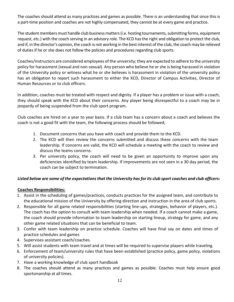The coaches should attend as many practices and games as possible. There is an understanding that since this is a part-time position and coaches are not highly compensated, they cannot be at every game and practice.

The student members must handle club business matters (i.e. hosting tournaments, submitting forms, equipment request, etc.) with the coach serving in an advisory role. The KCD has the right and obligation to protect the club, and if, in the director's opinion, the coach is not working in the best interest of the club, the coach may be relieved of duties if he or she does not follow the policies and procedures regarding club sports.

Coaches/instructors are considered employees of the university; they are expected to adhere to the university policy for harassment (sexual and non-sexual). Any person who believe he or she is being harassed in violation of the University policy or witness what he or she believes is harassment in violation of the university policy has an obligation to report such harassment to either the KCD, Director of Campus Activities, Director of Human Resources or to club officers.

In addition, coaches must be treated with respect and dignity. If a player has a problem or issue with a coach, they should speak with the KCD about their concerns. Any player being disrespectful to a coach may be in jeopardy of being suspended from the club sport program.

Club coaches are hired on a year to year basis. If a club team has a concern about a coach and believes the coach is not a good fit with the team, the following process should be followed;

- 1. Document concerns that you have with coach and provide them to the KCD.
- 2. The KCD will then review the concerns submitted and discuss these concerns with the team leadership. If concerns are valid, the KCD will schedule a meeting with the coach to review and discuss the teams concerns.
- 3. Per university policy, the coach will need to be given an opportunity to improve upon any deficiencies identified by team leadership. If improvements are not seen in a 30 day period, the coach can be subject to termination.

#### *Listed below are some of the expectations that the University has for its club sport coaches and club officers:*

#### **Coaches Responsibilities:**

- 1. Assist in the scheduling of games/practices, conducts practices for the assigned team, and contribute to the educational mission of the University by offering direction and instruction in the area of club sports.
- 2. Responsible for all game related responsibilities (starting line-ups, strategies, behavior of players, etc.). The coach has the option to consult with team leadership when needed. If a coach cannot make a game, the coach should provide information to team leadership on starting lineup, strategy for game, and any other game related situations that can be beneficial to team.
- 3. Confer with team leadership on practice schedule. Coaches will have final say on dates and times of practice schedules and games
- 4. Supervises assistant coach/coaches.
- 5. Will assist students with team travel and at times will be required to supervise players while traveling.
- 6. Enforcement of team/university rules that have been established (practice policy, game policy, violations of university policies).
- 7. Have a working knowledge of club sport handbook
- 8. The coaches should attend as many practices and games as possible. Coaches must help ensure good sportsmanship at all times.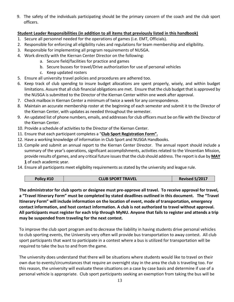9. The safety of the individuals participating should be the primary concern of the coach and the club sport officers.

#### **Student Leader Responsibilities (in addition to all items that previously listed in this handbook)**

- 1. Secure all personnel needed for the operations of games (i.e. EMT, Officials).
- 2. Responsible for enforcing all eligibility rules and regulations for team membership and eligibility.
- 3. Responsible for implementing all program requirements of NUSGA.
- 4. Work directly with the Kiernan Center Director on the following:
	- a. Secure field/facilities for practice and games
	- b. Secure busses for travel/Drive authorization for use of personal vehicles
	- c. Keep updated rosters
- 5. Ensure all university travel policies and procedures are adhered too.
- 6. Keep track of club spending to insure budget allocations are spent properly, wisely, and within budget limitations. Assure that all club financial obligations are met. Ensure that the club budget that is approved by the NUSGA is submitted to the Director of the Kiernan Center within one week after approval.
- 7. Check mailbox in Kiernan Center a minimum of twice a week for any correspondence.
- 8. Maintain an accurate membership roster at the beginning of each semester and submit it to the Director of the Kiernan Center, with updates as needed throughout the semester.
- 9. An updated list of phone numbers, emails, and addresses for club officers must be on file with the Director of the Kiernan Center.
- 10. Provide a schedule of activities to the Director of the Kiernan Center.
- 11. Ensure that each participant completes a "**Club Sport Registration Form".**
- 12. Have a working knowledge of information in Club Sport and NUSGA Handbooks.
- 13. Compile and submit an annual report to the Kiernan Center Director. The annual report should include a summary of the year's operations, significant accomplishments, activities related to the Vincentian Mission, provide results of games, and any critical future issues that the club should address. The report is due by **MAY 1** of each academic year.
- 14. Ensure all participants meet eligibility requirements as stated by the university and league rule.

| Policy #10 | <b>CLUB SPORT TRAVEL</b> | <b>Revised 5/2017</b> |
|------------|--------------------------|-----------------------|
|------------|--------------------------|-----------------------|

**The administrator for club sports or designee must pre-approve all travel. To receive approval for travel, a "Travel Itinerary Form" must be completed by stated deadlines outlined in this document. The "Travel Itinerary Form" will include information on the location of event, mode of transportation, emergency contact information, and host contact information. A club is not authorized to travel without approval. All participants must register for each trip through MyNU. Anyone that fails to register and attends a trip may be suspended from traveling for the next contest.**

To improve the club sport program and to decrease the liability in having students drive personal vehicles to club sporting events, the University very often will provide bus transportation to away contest. All club sport participants that want to participate in a contest where a bus is utilized for transportation will be required to take the bus to and from the game.

The university does understand that there will be situations where students would like to travel on their own due to events/circumstances that require an overnight stay in the area the club is traveling too. For this reason, the university will evaluate these situations on a case by case basis and determine if use of a personal vehicle is appropriate. Club sport participants seeking an exemption from taking the bus will be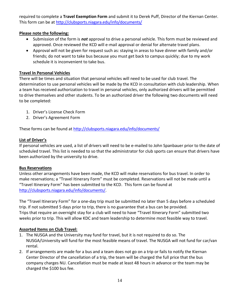required to complete a **Travel Exemption Form** and submit it to Derek Puff, Director of the Kiernan Center. This form can be at<http://clubsports.niagara.edu/info/documents/>

#### **Please note the following:**

- Submission of the form is *not* approval to drive a personal vehicle. This form must be reviewed and approved. Once reviewed the KCD will e-mail approval or denial for alternate travel plans.
- Approval will not be given for request such as: staying in areas to have dinner with family and/or friends; do not want to take bus because you must get back to campus quickly; due to my work schedule it is inconvenient to take bus.

#### **Travel In Personal Vehicles**

There will be times and situation that personal vehicles will need to be used for club travel. The determination to use personal vehicles will be made by the KCD in consultation with club leadership. When a team has received authorization to travel in personal vehicles, only authorized drivers will be permitted to drive themselves and other students. To be an authorized driver the following two documents will need to be completed:

- 1. Driver's License Check Form
- 2. Driver's Agreement Form

These forms can be found at<http://clubsports.niagara.edu/info/documents/>

#### **List of Driver's**

If personal vehicles are used, a list of drivers will need to be e-mailed to John Spanbauer prior to the date of scheduled travel. This list is needed to so that the administrator for club sports can ensure that drivers have been authorized by the university to drive.

#### **Bus Reservations**

Unless other arrangements have been made, the KCD will make reservations for bus travel. In order to make reservations; a "Travel Itinerary Form" must be completed. Reservations will not be made until a "Travel Itinerary Form" has been submitted to the KCD. This form can be found at [http://clubsports.niagara.edu/info/documents/.](http://clubsports.niagara.edu/info/documents/)

The "Travel Itinerary Form" for a one-day trip must be submitted no later than 5 days before a scheduled trip. If not submitted 5 days prior to trip, there is no guarantee that a bus can be provided. Trips that require an overnight stay for a club will need to have "Travel Itinerary Form" submitted two weeks prior to trip. This will allow KDC and team leadership to determine most feasible way to travel.

#### **Assorted Items on Club Travel:**

- 1. The NUSGA and the University may fund for travel, but it is not required to do so. The NUSGA/University will fund for the most feasible means of travel. The NUSGA will not fund for car/van rental.
- 2. If arrangements are made for a bus and a team does not go on a trip or fails to notify the Kiernan Center Director of the cancellation of a trip, the team will be charged the full price that the bus company charges NU. Cancellation must be made at least 48 hours in advance or the team may be charged the \$100 bus fee.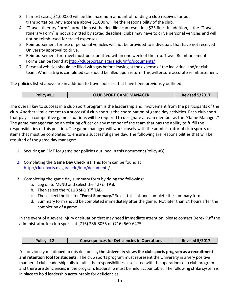- 3. In most cases, \$1,000.00 will be the maximum amount of funding a club receives for bus transportation. Any expense above \$1,000 will be the responsibility of the club.
- 4. "Travel Itinerary Form" turned in past the deadline can result in a \$25 fine. In addition, if the "Travel Itinerary Form" is not submitted by stated deadline, clubs may have to drive personal vehicles and will not be reimbursed for travel expenses.
- 5. Reimbursement for use of personal vehicles will not be provided to individuals that have not received University approval to drive.
- 6. Reimbursement for travel must be submitted within one week of the trip. Travel Reimbursement Forms can be found at<http://clubsports.niagara.edu/info/documents/>
- 7. Personal vehicles should be filled with gas before leaving at the expense of the individual and/or club team. When a trip is completed car should be filled upon return. This will ensure accurate reimbursement.

The policies listed above are in addition to travel policies that have been previously outlined.

| Policy #11 | <b>CLUB SPORT GAME MANAGER</b> | <b>Revised 5/2017</b> |
|------------|--------------------------------|-----------------------|

The overall key to success in a club sport program is the leadership and involvement from the participants of the club. Another vital element to a successful club sport is the coordination of game day activities. Each club sport that plays in competitive game situations will be required to designate a team member as the "Game Manager." The game manager can be an existing officer or any member of the team that has the ability to fulfill the responsibilities of this position. The game manager will work closely with the administrator of club sports on items that must be completed to ensure a successful game day. The following are responsibilities that will be required of the game day manager:

- 1. Securing an EMT for game per policies outlined in this document (Policy #3)
- 2. Completing the **Game Day Checklist**. This form can be found at <http://clubsports.niagara.edu/info/documents/>
- 3. Completing the game day summary form by doing the following:
	- a. Log on to MyNU and select the "**LIFE" TAB.**
	- b. Then select the **"CLUB SPORT" TAB.**
	- c. Then select the link for **"Event Summary."** Select this link and complete the summary form.
	- d. Summary form should be completed immediately after the game. Not later than 24 hours after the completion of a game.

In the event of a severe injury or situation that may need immediate attention, please contact Derek Puff the administrator for club sports at (716) 286-8055 or (716) 560-6475.

| <b>Revised 5/2017</b><br><b>Consequences for Deficiencies in Operations</b><br>Policy #12 |  |
|-------------------------------------------------------------------------------------------|--|
|-------------------------------------------------------------------------------------------|--|

As previously mentioned in this document**, the University views the club sports program as a recruitment and retention tool for students.** The club sports program must represent the University in a very positive manner. If club leadership fails to fulfill the responsibilities associated with the operations of a club program and there are deficiencies in the program, leadership must be held accountable. The following strike system is in place to hold leadership accountable for deficiencies: